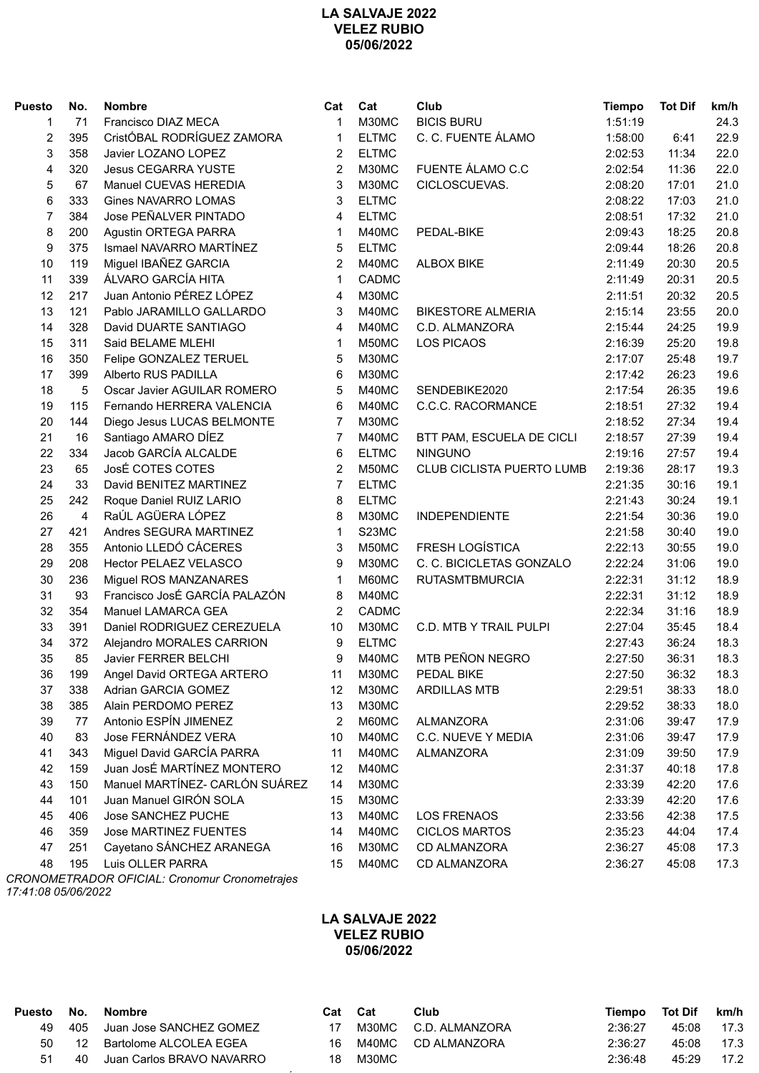## **LA SALVAJE 2022 VELEZ RUBIO 05/06/2022**

| <b>Puesto</b>  | No.            | <b>Nombre</b>                                 | Cat            | Cat          | Club                      | <b>Tiempo</b> | <b>Tot Dif</b> | km/h |
|----------------|----------------|-----------------------------------------------|----------------|--------------|---------------------------|---------------|----------------|------|
| 1              | 71             | Francisco DIAZ MECA                           | 1              | M30MC        | <b>BICIS BURU</b>         | 1:51:19       |                | 24.3 |
| $\overline{c}$ | 395            | CristÓBAL RODRÍGUEZ ZAMORA                    | 1              | <b>ELTMC</b> | C. C. FUENTE ÁLAMO        | 1:58:00       | 6:41           | 22.9 |
| 3              | 358            | Javier LOZANO LOPEZ                           | 2              | <b>ELTMC</b> |                           | 2:02:53       | 11:34          | 22.0 |
| 4              | 320            | <b>Jesus CEGARRA YUSTE</b>                    | $\overline{2}$ | M30MC        | FUENTE ÁLAMO C.C          | 2:02:54       | 11:36          | 22.0 |
| 5              | 67             | Manuel CUEVAS HEREDIA                         | 3              | M30MC        | CICLOSCUEVAS.             | 2:08:20       | 17:01          | 21.0 |
| 6              | 333            | <b>Gines NAVARRO LOMAS</b>                    | 3              | <b>ELTMC</b> |                           | 2:08:22       | 17:03          | 21.0 |
| $\overline{7}$ | 384            | Jose PEÑALVER PINTADO                         | 4              | <b>ELTMC</b> |                           | 2:08:51       | 17:32          | 21.0 |
| 8              | 200            | Agustin ORTEGA PARRA                          | 1              | M40MC        | PEDAL-BIKE                | 2:09:43       | 18:25          | 20.8 |
| 9              | 375            | Ismael NAVARRO MARTÍNEZ                       | 5              | <b>ELTMC</b> |                           | 2:09:44       | 18:26          | 20.8 |
| 10             | 119            | Miguel IBAÑEZ GARCIA                          | $\overline{2}$ | M40MC        | <b>ALBOX BIKE</b>         | 2:11:49       | 20:30          | 20.5 |
| 11             | 339            | ÁLVARO GARCÍA HITA                            | $\mathbf{1}$   | CADMC        |                           | 2:11:49       | 20:31          | 20.5 |
| 12             | 217            | Juan Antonio PÉREZ LÓPEZ                      | 4              | M30MC        |                           | 2:11:51       | 20:32          | 20.5 |
| 13             | 121            | Pablo JARAMILLO GALLARDO                      | 3              | M40MC        | <b>BIKESTORE ALMERIA</b>  | 2:15:14       | 23:55          | 20.0 |
| 14             | 328            | David DUARTE SANTIAGO                         | 4              | M40MC        | C.D. ALMANZORA            | 2:15:44       | 24:25          | 19.9 |
| 15             | 311            | Said BELAME MLEHI                             | 1              | M50MC        | <b>LOS PICAOS</b>         | 2:16:39       | 25:20          | 19.8 |
| 16             | 350            | Felipe GONZALEZ TERUEL                        | 5              | M30MC        |                           | 2:17:07       | 25:48          | 19.7 |
| 17             | 399            | Alberto RUS PADILLA                           | 6              | M30MC        |                           | 2:17:42       | 26:23          | 19.6 |
| 18             | 5              | Oscar Javier AGUILAR ROMERO                   | 5              | M40MC        | SENDEBIKE2020             | 2:17:54       | 26:35          | 19.6 |
| 19             | 115            | Fernando HERRERA VALENCIA                     | 6              | M40MC        | C.C.C. RACORMANCE         | 2:18:51       | 27:32          | 19.4 |
| 20             | 144            | Diego Jesus LUCAS BELMONTE                    | 7              | M30MC        |                           | 2:18:52       | 27:34          | 19.4 |
| 21             | 16             | Santiago AMARO DÍEZ                           | 7              | M40MC        | BTT PAM, ESCUELA DE CICLI | 2:18:57       | 27:39          | 19.4 |
| 22             | 334            | Jacob GARCÍA ALCALDE                          | 6              | <b>ELTMC</b> | <b>NINGUNO</b>            | 2:19:16       | 27:57          | 19.4 |
| 23             | 65             | JosÉ COTES COTES                              | $\overline{2}$ | M50MC        | CLUB CICLISTA PUERTO LUMB | 2:19:36       | 28:17          | 19.3 |
| 24             | 33             | David BENITEZ MARTINEZ                        | 7              | <b>ELTMC</b> |                           | 2:21:35       | 30:16          | 19.1 |
| 25             | 242            | Roque Daniel RUIZ LARIO                       | 8              | <b>ELTMC</b> |                           | 2:21:43       | 30:24          | 19.1 |
| 26             | $\overline{4}$ | RaÚL AGÜERA LÓPEZ                             | 8              | M30MC        | <b>INDEPENDIENTE</b>      | 2:21:54       | 30:36          | 19.0 |
| 27             | 421            | Andres SEGURA MARTINEZ                        | $\mathbf{1}$   | S23MC        |                           | 2:21:58       | 30:40          | 19.0 |
| 28             | 355            | Antonio LLEDÓ CÁCERES                         | 3              | M50MC        | FRESH LOGÍSTICA           | 2:22:13       | 30:55          | 19.0 |
| 29             | 208            | <b>Hector PELAEZ VELASCO</b>                  | 9              | M30MC        | C. C. BICICLETAS GONZALO  | 2:22:24       | 31:06          | 19.0 |
| 30             | 236            | Miguel ROS MANZANARES                         | 1              | M60MC        | <b>RUTASMTBMURCIA</b>     | 2:22:31       | 31:12          | 18.9 |
| 31             | 93             | Francisco JosÉ GARCÍA PALAZÓN                 | 8              | M40MC        |                           | 2:22:31       | 31:12          | 18.9 |
| 32             | 354            | Manuel LAMARCA GEA                            | $\overline{2}$ | CADMC        |                           |               |                |      |
|                |                | Daniel RODRIGUEZ CEREZUELA                    |                |              |                           | 2:22:34       | 31:16          | 18.9 |
| 33<br>34       | 391            |                                               | 10             | M30MC        | C.D. MTB Y TRAIL PULPI    | 2:27:04       | 35:45          | 18.4 |
|                | 372<br>85      | Alejandro MORALES CARRION                     | 9<br>9         | <b>ELTMC</b> | MTB PEÑON NEGRO           | 2:27:43       | 36:24<br>36:31 | 18.3 |
| 35             |                | Javier FERRER BELCHI                          |                | M40MC        |                           | 2:27:50       |                | 18.3 |
| 36             | 199            | Angel David ORTEGA ARTERO                     | 11             | M30MC        | PEDAL BIKE                | 2:27:50       | 36:32          | 18.3 |
| 37             | 338            | Adrian GARCIA GOMEZ                           | 12             | M30MC        | <b>ARDILLAS MTB</b>       | 2:29:51       | 38:33          | 18.0 |
| 38             | 385            | Alain PERDOMO PEREZ                           | 13             | M30MC        |                           | 2:29:52       | 38:33          | 18.0 |
| 39             | 77             | Antonio ESPÍN JIMENEZ                         | 2              | M60MC        | <b>ALMANZORA</b>          | 2:31:06       | 39:47          | 17.9 |
| 40             | 83             | Jose FERNÁNDEZ VERA                           | 10             | M40MC        | C.C. NUEVE Y MEDIA        | 2:31:06       | 39:47          | 17.9 |
| 41             | 343            | Miguel David GARCÍA PARRA                     | 11             | M40MC        | <b>ALMANZORA</b>          | 2:31:09       | 39:50          | 17.9 |
| 42             | 159            | Juan JosÉ MARTÍNEZ MONTERO                    | 12             | M40MC        |                           | 2:31:37       | 40:18          | 17.8 |
| 43             | 150            | Manuel MARTÍNEZ- CARLÓN SUÁREZ                | 14             | M30MC        |                           | 2:33:39       | 42:20          | 17.6 |
| 44             | 101            | Juan Manuel GIRÓN SOLA                        | 15             | M30MC        |                           | 2:33:39       | 42:20          | 17.6 |
| 45             | 406            | Jose SANCHEZ PUCHE                            | 13             | M40MC        | <b>LOS FRENAOS</b>        | 2:33:56       | 42:38          | 17.5 |
| 46             | 359            | <b>Jose MARTINEZ FUENTES</b>                  | 14             | M40MC        | <b>CICLOS MARTOS</b>      | 2:35:23       | 44:04          | 17.4 |
| 47             | 251            | Cayetano SÁNCHEZ ARANEGA                      | 16             | M30MC        | CD ALMANZORA              | 2:36:27       | 45:08          | 17.3 |
| 48             | 195            | Luis OLLER PARRA                              | 15             | M40MC        | CD ALMANZORA              | 2:36:27       | 45:08          | 17.3 |
|                |                | CRONOMETRADOR OFICIAL: Cronomur Cronometrajes |                |              |                           |               |                |      |

**LA SALVAJE 2022 VELEZ RUBIO 05/06/2022**

*17:41:08 05/06/2022*

| Puesto | No.   | Nombre                      | Cat Cat |       | Club                 | Tiempo Tot Dif |            | km/h |
|--------|-------|-----------------------------|---------|-------|----------------------|----------------|------------|------|
| 49     |       | 405 Juan Jose SANCHEZ GOMEZ |         |       | M30MC C.D. ALMANZORA | 2:36:27        | 45:08      | 17.3 |
|        | 50 12 | Bartolome ALCOLEA EGEA      | 16      | M40MC | CD ALMANZORA         | 2:36:27        | 45:08 17.3 |      |
| 51     | 40    | Juan Carlos BRAVO NAVARRO   | 18      | M30MC |                      | 2:36:48        | 45:29      | 17.2 |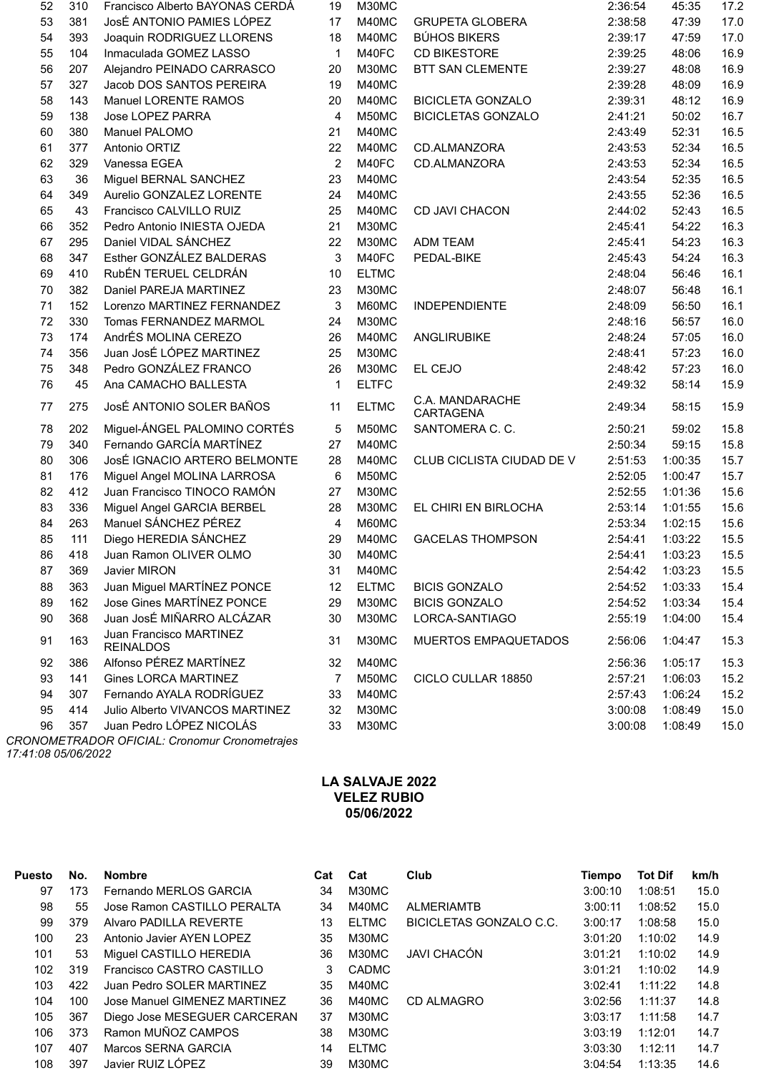| 52     | 310 | Francisco Alberto BAYONAS CERDÁ             | 19             | M30MC        |                              | 2:36:54 | 45:35   | 17.2 |
|--------|-----|---------------------------------------------|----------------|--------------|------------------------------|---------|---------|------|
| 53     | 381 | JosÉ ANTONIO PAMIES LÓPEZ                   | 17             | M40MC        | <b>GRUPETA GLOBERA</b>       | 2:38:58 | 47:39   | 17.0 |
| 54     | 393 | Joaquin RODRIGUEZ LLORENS                   | 18             | M40MC        | <b>BÚHOS BIKERS</b>          | 2:39:17 | 47:59   | 17.0 |
| 55     | 104 | Inmaculada GOMEZ LASSO                      | $\mathbf{1}$   | M40FC        | <b>CD BIKESTORE</b>          | 2:39:25 | 48:06   | 16.9 |
| 56     | 207 | Alejandro PEINADO CARRASCO                  | 20             | M30MC        | <b>BTT SAN CLEMENTE</b>      | 2:39:27 | 48:08   | 16.9 |
| 57     | 327 | Jacob DOS SANTOS PEREIRA                    | 19             | M40MC        |                              | 2:39:28 | 48:09   | 16.9 |
| 58     | 143 | Manuel LORENTE RAMOS                        | 20             | M40MC        | <b>BICICLETA GONZALO</b>     | 2:39:31 | 48:12   | 16.9 |
| 59     | 138 | Jose LOPEZ PARRA                            | 4              | M50MC        | <b>BICICLETAS GONZALO</b>    | 2:41:21 | 50:02   | 16.7 |
| 60     | 380 | Manuel PALOMO                               | 21             | M40MC        |                              | 2:43:49 | 52:31   | 16.5 |
| 61     | 377 | Antonio ORTIZ                               | 22             | M40MC        | CD.ALMANZORA                 | 2:43:53 | 52:34   | 16.5 |
| 62     | 329 | Vanessa EGEA                                | $\overline{2}$ | M40FC        | CD.ALMANZORA                 | 2:43:53 | 52:34   | 16.5 |
| 63     | 36  | Miguel BERNAL SANCHEZ                       | 23             | M40MC        |                              | 2:43:54 | 52:35   | 16.5 |
| 64     | 349 | Aurelio GONZALEZ LORENTE                    | 24             | M40MC        |                              | 2:43:55 | 52:36   | 16.5 |
| 65     | 43  | Francisco CALVILLO RUIZ                     | 25             | M40MC        | CD JAVI CHACON               | 2:44:02 | 52:43   | 16.5 |
| 66     | 352 | Pedro Antonio INIESTA OJEDA                 | 21             | M30MC        |                              | 2:45:41 | 54:22   | 16.3 |
| 67     | 295 | Daniel VIDAL SÁNCHEZ                        | 22             | M30MC        | <b>ADM TEAM</b>              | 2:45:41 | 54:23   | 16.3 |
| 68     | 347 | Esther GONZÁLEZ BALDERAS                    | 3              | M40FC        | PEDAL-BIKE                   | 2:45:43 | 54:24   | 16.3 |
| 69     | 410 | RubÉN TERUEL CELDRÁN                        | 10             | <b>ELTMC</b> |                              | 2:48:04 | 56:46   | 16.1 |
| $70\,$ | 382 | Daniel PAREJA MARTINEZ                      | 23             | M30MC        |                              | 2:48:07 | 56:48   | 16.1 |
| 71     | 152 | Lorenzo MARTINEZ FERNANDEZ                  | 3              | M60MC        | <b>INDEPENDIENTE</b>         | 2:48:09 | 56:50   | 16.1 |
| 72     | 330 | Tomas FERNANDEZ MARMOL                      | 24             | M30MC        |                              | 2:48:16 | 56:57   | 16.0 |
| 73     | 174 | AndrÉS MOLINA CEREZO                        | 26             | M40MC        | ANGLIRUBIKE                  | 2:48:24 | 57:05   | 16.0 |
| 74     | 356 | Juan JosÉ LÓPEZ MARTINEZ                    | 25             | M30MC        |                              | 2:48:41 | 57:23   | 16.0 |
| 75     | 348 | Pedro GONZÁLEZ FRANCO                       | 26             | M30MC        | EL CEJO                      | 2:48:42 | 57:23   | 16.0 |
| 76     | 45  | Ana CAMACHO BALLESTA                        | 1              | <b>ELTFC</b> |                              | 2:49:32 | 58:14   | 15.9 |
| 77     | 275 | JosÉ ANTONIO SOLER BAÑOS                    | 11             | <b>ELTMC</b> | C.A. MANDARACHE<br>CARTAGENA | 2:49:34 | 58:15   | 15.9 |
| 78     | 202 | Miguel-ÁNGEL PALOMINO CORTÉS                | 5              | M50MC        | SANTOMERA C. C.              | 2:50:21 | 59:02   | 15.8 |
| 79     | 340 | Fernando GARCÍA MARTÍNEZ                    | 27             | M40MC        |                              | 2:50:34 | 59:15   | 15.8 |
| 80     | 306 | JosÉ IGNACIO ARTERO BELMONTE                | 28             | M40MC        | CLUB CICLISTA CIUDAD DE V    | 2:51:53 | 1:00:35 | 15.7 |
| 81     | 176 | Miguel Angel MOLINA LARROSA                 | 6              | M50MC        |                              | 2:52:05 | 1:00:47 | 15.7 |
| 82     | 412 | Juan Francisco TINOCO RAMÓN                 | 27             | M30MC        |                              | 2:52:55 | 1:01:36 | 15.6 |
| 83     | 336 | Miguel Angel GARCIA BERBEL                  | 28             | M30MC        | EL CHIRI EN BIRLOCHA         | 2:53:14 | 1:01:55 | 15.6 |
| 84     | 263 | Manuel SÁNCHEZ PÉREZ                        | $\overline{4}$ | M60MC        |                              | 2:53:34 | 1:02:15 | 15.6 |
| 85     | 111 | Diego HEREDIA SÁNCHEZ                       | 29             | M40MC        | <b>GACELAS THOMPSON</b>      | 2:54:41 | 1:03:22 | 15.5 |
| 86     | 418 | Juan Ramon OLIVER OLMO                      | 30             | M40MC        |                              | 2:54:41 | 1:03:23 | 15.5 |
| 87     | 369 | Javier MIRON                                | 31             | M40MC        |                              | 2:54:42 | 1:03:23 | 15.5 |
| 88     | 363 | Juan Miguel MARTÍNEZ PONCE                  | 12             | <b>ELTMC</b> | <b>BICIS GONZALO</b>         | 2:54:52 | 1:03:33 | 15.4 |
| 89     | 162 | Jose Gines MARTÍNEZ PONCE                   | 29             | M30MC        | <b>BICIS GONZALO</b>         | 2:54:52 | 1:03:34 | 15.4 |
| 90     | 368 | Juan JosÉ MIÑARRO ALCÁZAR                   | 30             | M30MC        | LORCA-SANTIAGO               | 2:55:19 | 1:04:00 | 15.4 |
| 91     | 163 | Juan Francisco MARTINEZ<br><b>REINALDOS</b> | 31             | M30MC        | MUERTOS EMPAQUETADOS         | 2:56:06 | 1:04:47 | 15.3 |
| 92     | 386 | Alfonso PÉREZ MARTÍNEZ                      | 32             | M40MC        |                              | 2:56:36 | 1:05:17 | 15.3 |
| 93     | 141 | <b>Gines LORCA MARTINEZ</b>                 | 7              | M50MC        | CICLO CULLAR 18850           | 2:57:21 | 1:06:03 | 15.2 |
| 94     | 307 | Fernando AYALA RODRÍGUEZ                    | 33             | M40MC        |                              | 2:57:43 | 1:06:24 | 15.2 |
| 95     | 414 | Julio Alberto VIVANCOS MARTINEZ             | 32             | M30MC        |                              | 3:00:08 | 1:08:49 | 15.0 |
| 96     | 357 | Juan Pedro LÓPEZ NICOLÁS                    | 33             | M30MC        |                              | 3:00:08 | 1:08:49 | 15.0 |

*CRONOMETRADOR OFICIAL: Cronomur Cronometrajes 17:41:08 05/06/2022*

## **LA SALVAJE 2022 VELEZ RUBIO 05/06/2022**

| <b>Puesto</b> | No. | <b>Nombre</b>                | Cat | Cat          | Club                    | Tiempo  | <b>Tot Dif</b> | km/h |
|---------------|-----|------------------------------|-----|--------------|-------------------------|---------|----------------|------|
| 97            | 173 | Fernando MERLOS GARCIA       | 34  | M30MC        |                         | 3:00:10 | 1:08:51        | 15.0 |
| 98            | 55  | Jose Ramon CASTILLO PERALTA  | 34  | M40MC        | <b>ALMERIAMTB</b>       | 3:00:11 | 1:08:52        | 15.0 |
| 99            | 379 | Alvaro PADILLA REVERTE       | 13  | <b>ELTMC</b> | BICICLETAS GONZALO C.C. | 3:00:17 | 1:08:58        | 15.0 |
| 100           | 23  | Antonio Javier AYEN LOPEZ    | 35  | M30MC        |                         | 3:01:20 | 1:10:02        | 14.9 |
| 101           | 53  | Miguel CASTILLO HEREDIA      | 36  | M30MC        | <b>JAVI CHACÓN</b>      | 3:01:21 | 1:10:02        | 14.9 |
| 102           | 319 | Francisco CASTRO CASTILLO    | 3   | <b>CADMC</b> |                         | 3:01:21 | 1:10:02        | 14.9 |
| 103           | 422 | Juan Pedro SOLER MARTINEZ    | 35  | M40MC        |                         | 3:02:41 | 1:11:22        | 14.8 |
| 104           | 100 | Jose Manuel GIMENEZ MARTINEZ | 36  | M40MC        | CD ALMAGRO              | 3:02:56 | 1:11:37        | 14.8 |
| 105           | 367 | Diego Jose MESEGUER CARCERAN | 37  | M30MC        |                         | 3:03:17 | 1:11:58        | 14.7 |
| 106           | 373 | Ramon MUÑOZ CAMPOS           | 38  | M30MC        |                         | 3:03:19 | 1:12:01        | 14.7 |
| 107           | 407 | Marcos SERNA GARCIA          | 14  | <b>ELTMC</b> |                         | 3:03:30 | 1:12:11        | 14.7 |
| 108           | 397 | Javier RUIZ LÓPEZ            | 39  | M30MC        |                         | 3:04:54 | 1:13:35        | 14.6 |